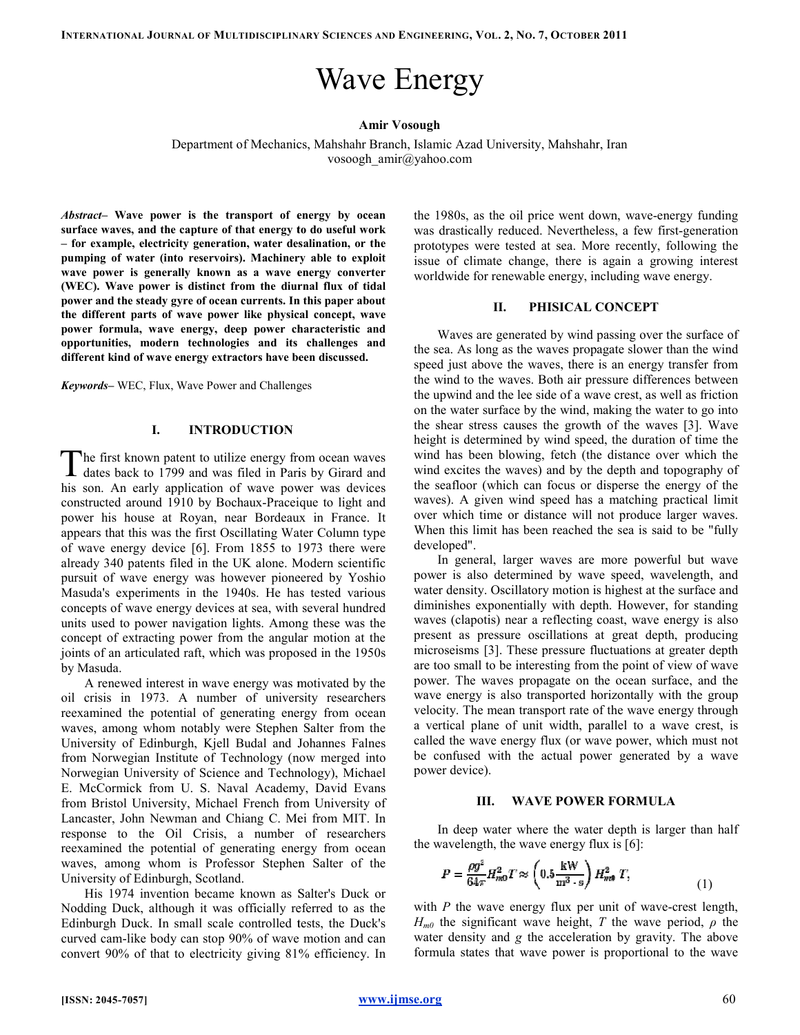# Wave Energy

## Amir Vosough

Department of Mechanics, Mahshahr Branch, Islamic Azad University, Mahshahr, Iran vosoogh\_amir@yahoo.com

Abstract- Wave power is the transport of energy by ocean surface waves, and the capture of that energy to do useful work surface waves, and the capture of that energy to do useful work<br>– for example, electricity generation, water desalination, or the pumping of water (into reservoirs). Machinery able to exploit wave power is generally known as a wave energy converter (WEC). Wave power is distinct from the diurnal flux of tidal power and the steady gyre of ocean currents. In this paper about the different parts of wave power like physical concept, wave power formula, wave energy, deep power characteristic and opportunities, modern technologies and its challenges and different kind of wave energy extractors have been discussed.

Keywords– WEC, Flux, Wave Power and Challenges

## I. INTRODUCTION

he first known patent to utilize energy from ocean waves The first known patent to utilize energy from ocean waves dates back to 1799 and was filed in Paris by Girard and his son. An early application of wave power was devices his son. An early application of wave power was devices constructed around 1910 by Bochaux-Praceique to light and constructed around 1910 by Bochaux-Praceique to light and<br>power his house at Royan, near Bordeaux in France. It appears that this was the first Oscillating Water Column type of wave energy device [6]. From 1855 to 1973 there were already 340 patents filed in the UK alone. Modern scientific pursuit of wave energy was however pioneered by Masuda's experiments in the 1940s. He has tested various concepts of wave energy devices at sea, with several hundred units used to power navigation lights. Among these was the concept of extracting power from the angular motion at the joints of an articulated raft, which was proposed in the 1950s by Masuda. . From 1855 to 1973 there were<br>the UK alone. Modern scientific<br>as however pioneered by Yoshio 's experiments in the 1940s. He has tested various s of wave energy devices at sea, with several hundred ed to power navigation lights. Among these was the of extracting power from the angular motion at the f an articulate

A renewed interest in wave energy was motivated by the oil crisis in 1973. A number of university researchers reexamined the potential of generating energy from ocean waves, among whom notably were Stephen Salter University of Edinburgh, Kjell Budal and Johannes Falnes from Norwegian Institute of Technology (now merged into Norwegian University of Science and Technology), Michael E. McCormick from U. S. Naval Academy, David Evans from Bristol University, Michael French from University of Lancaster, John Newman and Chiang C. Mei from MIT. In response to the Oil Crisis, a number of researchers reexamined the potential of generating energy from ocean waves, among whom is Professor Stephen Salter of the University of Edinburgh, Scotland. s, a number of researchers<br>generating energy from ocean<br>ofessor Stephen Salter of the

His 1974 invention became known as Salter's Duck Duck or Nodding Duck, although it was officially referred to as the Edinburgh Duck. In small scale controlled tests, the Duck's curved cam-like body can stop 90% of wave motion and can convert 90% of that to electricity giving 81% efficiency. In Duck, although it was officially referred to as the<br>1 Duck. In small scale controlled tests, the Duck's<br>m-like body can stop 90% of wave motion and can<br>0% of that to electricity giving 81% efficiency. In

the 1980s, as the oil price went down, wave-energy funding was drastically reduced. Nevertheless, a few first-generation prototypes were tested at sea. More recently, following the issue of climate change, there is again a growing interest worldwide for renewable energy, including wave energy prototypes were tested at sea. More recently, following<br>issue of climate change, there is again a growing inter<br>worldwide for renewable energy, including wave energy.

#### II. PHISICAL CONCEPT PHISICAL CONCEPT

Waves are generated by wind passing over the surface of the sea. As long as the waves propagate slower than the wind speed just above the waves, there is an energy transfer from the wind to the waves. Both air pressure differences between the upwind and the lee side of a wave crest, as well as friction on the water surface by the wind, making the water to go into on the water surface by the wind, making the water to go into the shear stress causes the growth of the waves [3]. Wave height is determined by wind speed, the duration of time the wind has been blowing, fetch (the distance over which the wind has been blowing, fetch (the distance over which the wind excites the waves) and by the depth and topography of the seafloor (which can focus or disperse the energy of the waves). A given wind speed has a matching practical limit over which time or distance will not produce larger waves. When this limit has been reached the sea is said to be "fully developed". the sea. As long as the waves propagate slower than the wind speed just above the waves, there is an energy transfer from the wind to the waves. Both air pressure differences between the upwind and the lee side of a wave c the seafloor (which can focus or disperse the energy of the waves). A given wind speed has a matching practical limit over which time or distance will not produce larger waves. When this limit has been reached the sea is s

In general, larger waves are more powerful but wave power is also determined by wave speed, water density. Oscillatory motion is highest at the surface and diminishes exponentially with depth. However, for standing waves (clapotis) near a reflecting coast, wave energy is also present as pressure oscillations at great depth, producing microseisms [3]. These pressure fluctuations at greater depth are too small to be interesting from the point of view of wave power. The waves propagate on the ocean surface, and the wave energy is also transported horizontally with the group velocity. The mean transport rate of the wave energy through a vertical plane of unit width, parallel to a wave crest, is called the wave energy flux (or wave power, which must not be confused with the actual power generated by a wave power device). (clapotis) near a reflecting coast, wave energy is also<br>as pressure oscillations at great depth, producing<br>eisms [3]. These pressure fluctuations at greater depth<br>small to be interesting from the point of view of wave<br>The The mean transport rate of the wave energy through<br>al plane of unit width, parallel to a wave crest, is<br>ne wave energy flux (or wave power, which must not<br>ivsed with the actual power generated by a wave state University, Mahshahr, Iran<br>m<br>state University, Mahshahr, Iran<br>m<br>state Universect converted as a More recently, folled<br>imate change, there is again a growin<br>clemate change, there is again a growin<br>de for renewable en

### III. WAVE POWER FORMULA POWER FORMULA

In deep water where the water depth is larger than half vavelength, the wave energy flux is [6]: the wavelength, the wave energy flux is  $[6]$ :

$$
P = \frac{\rho g^2}{64\pi} H_{m0}^2 T \approx \left(0.5 \frac{\text{kW}}{\text{m}^3 \cdot \text{s}}\right) H_{m0}^2 T, \tag{1}
$$

with  $P$  the wave energy flux per unit of wave-crest length,  $H_{m0}$  the significant wave height, T the wave period,  $\rho$  the water density and  $g$  the acceleration by gravity. The above formula states that wave power is proportional to the wave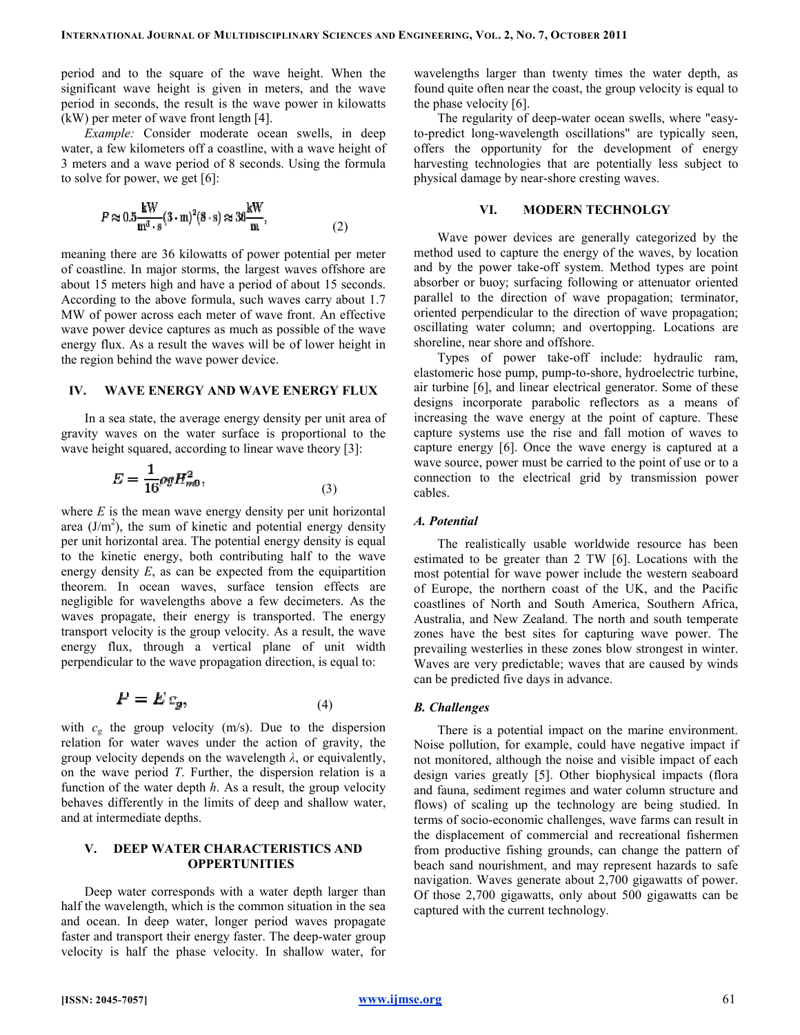period and to the square of the wave height. When the significant wave height is given in meters, and the wave period in seconds, the result is the wave power in kilowatts (kW) per meter of wave front length [4].

Example: Consider moderate ocean swells, in deep water, a few kilometers off a coastline, with a wave height of 3 meters and a wave period of 8 seconds. Using the formula to solve for power, we get [6]: period and to the square of the wave height. When the significant wave height is given in meters, and the wave period in seconds, the result is the wave power in kilowatts (kW) per meter of wave front length [4].<br> *Exampl* 

$$
P \approx 0.5 \frac{\text{kW}}{\text{m}^3 \cdot \text{s}} (3 \cdot \text{m})^2 (8 \cdot \text{s}) \approx 36 \frac{\text{kW}}{\text{m}},\tag{2}
$$

meaning there are 36 kilowatts of power potential per meter of coastline. In major storms, the largest waves offshore are about 15 meters high and have a period of about 15 seconds. According to the above formula, such waves carry about 1.7 meaning there are 36 kilowatts of power potential per meter<br>of coastline. In major storms, the largest waves offshore are<br>about 15 meters high and have a period of about 15 seconds.<br>According to the above formula, such wav wave power device captures as much as possible of the wave energy flux. As a result the waves will be of lower height in the region behind the wave power device.

#### IV. WAVE ENERGY AND WAVE ENERGY FLUX

In a sea state, the average energy density per unit area of gravity waves on the water surface is proportional to the wave height squared, according to linear wave theory [3]: %, the average energy density per unit area to the water surface is proportional to the red, according to linear wave theory  $[3]$ :

$$
E = \frac{1}{16}\rho g H_{m0}^2,\tag{3}
$$

where  $E$  is the mean wave energy density per unit horizontal area  $(J/m<sup>2</sup>)$ , the sum of kinetic and potential energy density per unit horizontal area. The potential energy density is equal to the kinetic energy, both contributing half to the wave per unit horizontal area. The potential energy density is equal to the kinetic energy, both contributing half to the wave energy density  $E$ , as can be expected from the equipartition theorem. In ocean waves, surface tension effects are theorem. In ocean waves, surface tension effects are negligible for wavelengths above a few decimeters. As the waves propagate, their energy is transported. The energy transport velocity is the group velocity. As a result, the wave transport velocity is the group velocity. As a result, the wave<br>energy flux, through a vertical plane of unit width perpendicular to the wave propagation direction, is equal to:

$$
P = E c_g, \tag{4}
$$

with  $c_g$  the group velocity (m/s). Due to the dispersion relation for water waves under the action of gravity, the group velocity depends on the wavelength  $\lambda$ , or equivalently, on the wave period T. Further, the dispersion relation is a function of the water depth  $h$ . As a result, the group velocity behaves differently in the limits of deep and shallow water, and at intermediate depths. relation for water waves under the action of gravity, the group velocity depends on the wavelength  $λ$ , or equivalently, on the wave period  $T$ . Further, the dispersion relation is a function of the water depth  $h$ . As a

## V. DEEP WATER CHARACTERISTICS AND **OPPERTUNITIES**

Deep water corresponds with a water depth larger than half the wavelength, which is the common situation in the sea and ocean. In deep water, longer period waves propagate faster and transport their energy faster. The deep-water group velocity is half the phase velocity. In shallow water, for

wavelengths larger than twenty times the water depth, as found quite often near the coast, the group velocity is equal to the phase velocity [6]. d quite often near the coast, the group velocity is equal to hase velocity [6].<br>The regularity of deep-water ocean swells, where "easy-

to-predict long-wavelength oscillations" are typically seen, to-predict long-wavelength oscillations" are typically seen, offers the opportunity for the development of energy harvesting technologies that are potentially less subject to harvesting technologies that are potentially lephysical damage by near-shore cresting waves.

#### VI. MODERN TECHNOLGY MODERN TECHNOLGY

Wave power devices are generally categorized by the method used to capture the energy of the waves, by location and by the power take-off system. Method types are point absorber or buoy; surfacing following or parallel to the direction of wave propagation; terminator, oriented perpendicular to the direction of wave propagation; oscillating water column; and overtopping. Locations are shoreline, near shore and offshore. nted perpendicular to the direction of wave propagation;<br>lating water column; and overtopping. Locations are<br>eline, near shore and offshore.<br>Types of power take-off include: hydraulic ram, power devices are generally categorized by the<br>d to capture the energy of the waves, by location<br>power take-off system. Method types are point<br>buoy; surfacing following or attenuator oriented

elastomeric hose pump, pump-to-shore, hydroelectric turbine, air turbine [6], and linear electrical generator generator. Some of these designs incorporate parabolic reflectors as a means of increasing the wave energy at the point of capture. These capture systems use the rise and fall motion of waves to capture energy [6]. Once the wave energy is captured at a wave source, power must be carried to the point of use or to a connection to the electrical grid by transmission power cables. ising the wave energy at the point of capture. These re systems use the rise and fall motion of waves to re energy [6]. Once the wave energy is captured at a source, power must be carried to the point of use or to a ction

## A. Potential

The realistically usable worldwide resource has been The realistically usable worldwide resource has been estimated to be greater than 2 TW [6]. Locations with the most potential for wave power include the western seaboard of Europe, the northern coast of the UK, and the Pacific coastlines of North and South America, Southern Africa, most potential for wave power include the western seaboard<br>of Europe, the northern coast of the UK, and the Pacific<br>coastlines of North and South America, Southern Africa,<br>Australia, and New Zealand. The north and south te zones have the best sites for capturing wave power. The prevailing westerlies in these zones blow strongest in winter. Waves are very predictable; waves that are caused by winds can be predicted five days in advance the best sites for capturing wave power. The esterlies in these zones blow strongest in winter.<br>ery predictable; waves that are caused by winds ted five days in advance.

#### B. Challenges

There is a potential impact on the marine environment. Noise pollution, for example, could have negative impact if not monitored, although the noise and visible impact of each design varies greatly [5]. Other biophysical impacts (flora and fauna, sediment regimes and water column structure and and fauna, sediment regimes and water column structure and flows) of scaling up the technology are being studied. In terms of socio-economic challenges, wave farms can result in the displacement of commercial and recreational fishermen from productive fishing grounds, can change the pattern of beach sand nourishment, and may represent hazards to safe navigation. Waves generate about 2,700 gigawatts of power. Of those 2,700 gigawatts, only about 500 gigawatts can be captured with the current technology a potential impact on the marine environment.<br>
In, on, for example, could have negative impact if<br>
I, although the noise and visible impact of each<br>
greatly [5]. Other biophysical impacts (flora terms of socio-economic challenges, wave farms can result in<br>the displacement of commercial and recreational fishermen<br>from productive fishing grounds, can change the pattern of es generate about 2,700<br>gigawatts, only about 50<br>e current technology.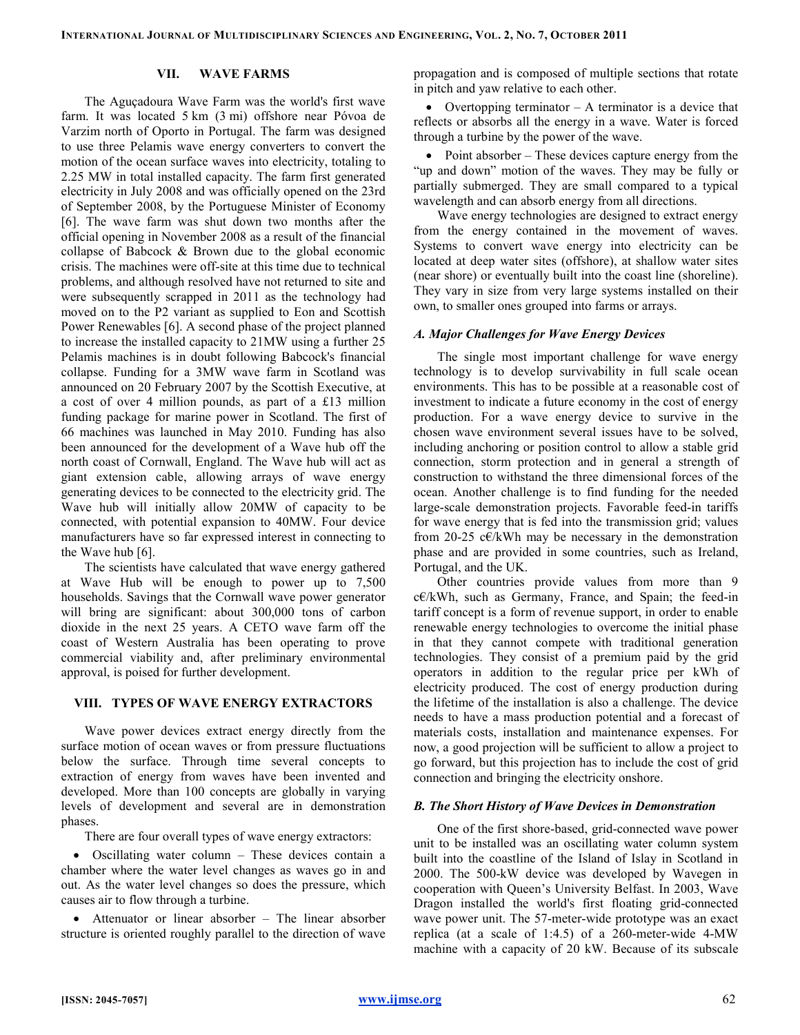## VII. WAVE FARMS

The Aguçadoura Wave Farm was the world's first wave farm. It was located 5 km (3 mi) offshore near Póvoa de Varzim north of Oporto in Portugal. The farm was designed to use three Pelamis wave energy converters to convert the motion of the ocean surface waves into electricity, totaling to 2.25 MW in total installed capacity. The farm first generated electricity in July 2008 and was officially opened on the 23rd of September 2008, by the Portuguese Minister of Economy [6]. The wave farm was shut down two months after the official opening in November 2008 as a result of the financial collapse of Babcock & Brown due to the global economic crisis. The machines were off-site at this time due to technical problems, and although resolved have not returned to site and were subsequently scrapped in 2011 as the technology had moved on to the P2 variant as supplied to Eon and Scottish Power Renewables [6]. A second phase of the project planned to increase the installed capacity to 21MW using a further 25 Pelamis machines is in doubt following Babcock's financial collapse. Funding for a 3MW wave farm in Scotland was announced on 20 February 2007 by the Scottish Executive, at a cost of over 4 million pounds, as part of a £13 million funding package for marine power in Scotland. The first of 66 machines was launched in May 2010. Funding has also been announced for the development of a Wave hub off the north coast of Cornwall, England. The Wave hub will act as giant extension cable, allowing arrays of wave energy generating devices to be connected to the electricity grid. The Wave hub will initially allow 20MW of capacity to be connected, with potential expansion to 40MW. Four device manufacturers have so far expressed interest in connecting to the Wave hub [6].

The scientists have calculated that wave energy gathered at Wave Hub will be enough to power up to 7,500 households. Savings that the Cornwall wave power generator will bring are significant: about 300,000 tons of carbon dioxide in the next 25 years. A CETO wave farm off the coast of Western Australia has been operating to prove commercial viability and, after preliminary environmental approval, is poised for further development.

#### VIII. TYPES OF WAVE ENERGY EXTRACTORS

Wave power devices extract energy directly from the surface motion of ocean waves or from pressure fluctuations below the surface. Through time several concepts to extraction of energy from waves have been invented and developed. More than 100 concepts are globally in varying levels of development and several are in demonstration phases.

There are four overall types of wave energy extractors:

• Oscillating water column – These devices contain a chamber where the water level changes as waves go in and out. As the water level changes so does the pressure, which causes air to flow through a turbine.

• Attenuator or linear absorber – The linear absorber structure is oriented roughly parallel to the direction of wave

propagation and is composed of multiple sections that rotate in pitch and yaw relative to each other.

• Overtopping terminator – A terminator is a device that reflects or absorbs all the energy in a wave. Water is forced through a turbine by the power of the wave.

• Point absorber – These devices capture energy from the "up and down" motion of the waves. They may be fully or partially submerged. They are small compared to a typical wavelength and can absorb energy from all directions.

Wave energy technologies are designed to extract energy from the energy contained in the movement of waves. Systems to convert wave energy into electricity can be located at deep water sites (offshore), at shallow water sites (near shore) or eventually built into the coast line (shoreline). They vary in size from very large systems installed on their own, to smaller ones grouped into farms or arrays.

## A. Major Challenges for Wave Energy Devices

The single most important challenge for wave energy technology is to develop survivability in full scale ocean environments. This has to be possible at a reasonable cost of investment to indicate a future economy in the cost of energy production. For a wave energy device to survive in the chosen wave environment several issues have to be solved, including anchoring or position control to allow a stable grid connection, storm protection and in general a strength of construction to withstand the three dimensional forces of the ocean. Another challenge is to find funding for the needed large-scale demonstration projects. Favorable feed-in tariffs for wave energy that is fed into the transmission grid; values from 20-25  $c \in K$ Wh may be necessary in the demonstration phase and are provided in some countries, such as Ireland, Portugal, and the UK.

Other countries provide values from more than 9 c€/kWh, such as Germany, France, and Spain; the feed-in tariff concept is a form of revenue support, in order to enable renewable energy technologies to overcome the initial phase in that they cannot compete with traditional generation technologies. They consist of a premium paid by the grid operators in addition to the regular price per kWh of electricity produced. The cost of energy production during the lifetime of the installation is also a challenge. The device needs to have a mass production potential and a forecast of materials costs, installation and maintenance expenses. For now, a good projection will be sufficient to allow a project to go forward, but this projection has to include the cost of grid connection and bringing the electricity onshore.

#### B. The Short History of Wave Devices in Demonstration

One of the first shore-based, grid-connected wave power unit to be installed was an oscillating water column system built into the coastline of the Island of Islay in Scotland in 2000. The 500-kW device was developed by Wavegen in cooperation with Queen's University Belfast. In 2003, Wave Dragon installed the world's first floating grid-connected wave power unit. The 57-meter-wide prototype was an exact replica (at a scale of 1:4.5) of a 260-meter-wide 4-MW machine with a capacity of 20 kW. Because of its subscale